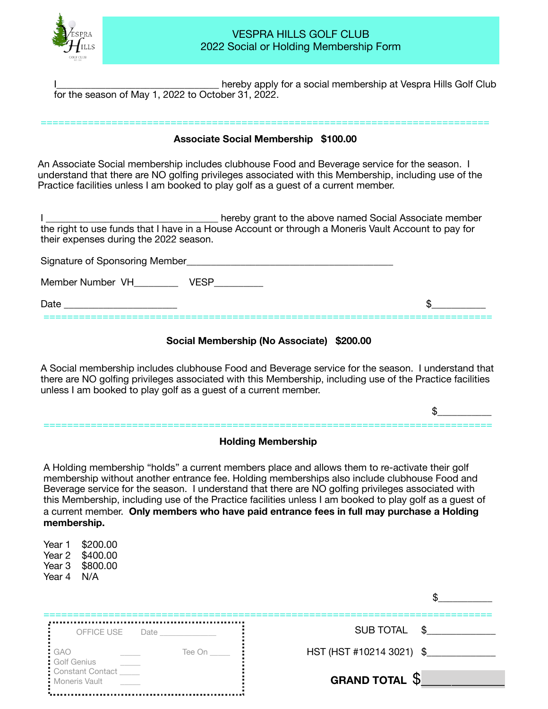

## VESPRA HILLS GOLF CLUB 2022 Social or Holding Membership Form

hereby apply for a social membership at Vespra Hills Golf Club for the season of May 1, 2022 to October 31, 2022.

## ============================================================================ **Associate Social Membership \$100.00**

An Associate Social membership includes clubhouse Food and Beverage service for the season. I understand that there are NO golfing privileges associated with this Membership, including use of the Practice facilities unless I am booked to play golf as a guest of a current member.

I consider the state of the above named Social Associate member the right to use funds that I have in a House Account or through a Moneris Vault Account to pay for their expenses during the 2022 season.

| Signature of Sponsoring Member |  |
|--------------------------------|--|
| Member Number VH               |  |
| Date                           |  |

#### **Social Membership (No Associate) \$200.00**

A Social membership includes clubhouse Food and Beverage service for the season. I understand that  there are NO golfing privileges associated with this Membership, including use of the Practice facilities unless I am booked to play golf as a guest of a current member.

 $\mathfrak{s}$ 

# ============================================================================ **Holding Membership**

A Holding membership "holds" a current members place and allows them to re-activate their golf membership without another entrance fee. Holding memberships also include clubhouse Food and Beverage service for the season. I understand that there are NO golfing privileges associated with this Membership, including use of the Practice facilities unless I am booked to play golf as a guest of a current member. **Only members who have paid entrance fees in full may purchase a Holding membership.** 

Year 1 \$200.00 Year 2 \$400.00 Year 3 \$800.00 Year 4 N/A

| OFFICE USE Date                   | SUB TOTAL \$             |
|-----------------------------------|--------------------------|
| : GAO<br>Tee On<br>Golf Genius    | HST (HST #10214 3021) \$ |
| Constant Contact<br>Moneris Vault | <b>GRAND TOTAL S</b>     |